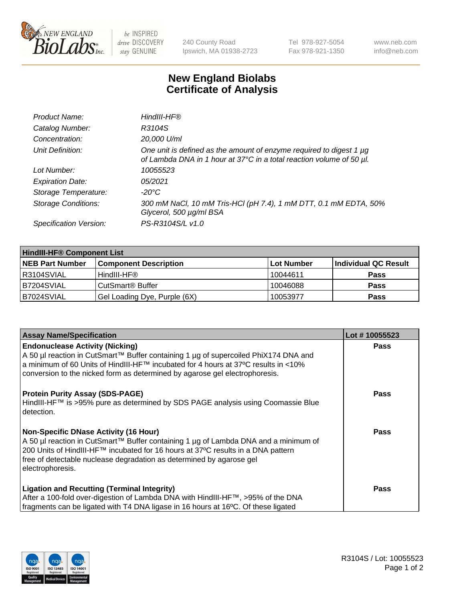

 $be$  INSPIRED drive DISCOVERY stay GENUINE

240 County Road Ipswich, MA 01938-2723 Tel 978-927-5054 Fax 978-921-1350 www.neb.com info@neb.com

## **New England Biolabs Certificate of Analysis**

| Product Name:              | HindIII-HF®                                                                                                                                      |
|----------------------------|--------------------------------------------------------------------------------------------------------------------------------------------------|
| Catalog Number:            | R3104S                                                                                                                                           |
| Concentration:             | 20,000 U/ml                                                                                                                                      |
| Unit Definition:           | One unit is defined as the amount of enzyme required to digest 1 $\mu$ g<br>of Lambda DNA in 1 hour at 37°C in a total reaction volume of 50 µl. |
| Lot Number:                | 10055523                                                                                                                                         |
| <b>Expiration Date:</b>    | 05/2021                                                                                                                                          |
| Storage Temperature:       | -20°C                                                                                                                                            |
| <b>Storage Conditions:</b> | 300 mM NaCl, 10 mM Tris-HCl (pH 7.4), 1 mM DTT, 0.1 mM EDTA, 50%<br>Glycerol, 500 µg/ml BSA                                                      |
| Specification Version:     | PS-R3104S/L v1.0                                                                                                                                 |

| <b>HindIII-HF® Component List</b> |                              |            |                      |  |
|-----------------------------------|------------------------------|------------|----------------------|--|
| <b>NEB Part Number</b>            | <b>Component Description</b> | Lot Number | Individual QC Result |  |
| IR3104SVIAL                       | HindIII-HF®                  | 10044611   | <b>Pass</b>          |  |
| IB7204SVIAL                       | CutSmart <sup>®</sup> Buffer | 10046088   | <b>Pass</b>          |  |
| B7024SVIAL                        | Gel Loading Dye, Purple (6X) | 10053977   | <b>Pass</b>          |  |

| <b>Assay Name/Specification</b>                                                                                                                                         | Lot #10055523 |
|-------------------------------------------------------------------------------------------------------------------------------------------------------------------------|---------------|
| <b>Endonuclease Activity (Nicking)</b><br>  A 50 µl reaction in CutSmart™ Buffer containing 1 µg of supercoiled PhiX174 DNA and                                         | <b>Pass</b>   |
| a minimum of 60 Units of HindIII-HF™ incubated for 4 hours at 37ºC results in <10%<br>conversion to the nicked form as determined by agarose gel electrophoresis.       |               |
| <b>Protein Purity Assay (SDS-PAGE)</b>                                                                                                                                  | <b>Pass</b>   |
| HindIII-HF™ is >95% pure as determined by SDS PAGE analysis using Coomassie Blue<br>l detection.                                                                        |               |
| <b>Non-Specific DNase Activity (16 Hour)</b>                                                                                                                            | <b>Pass</b>   |
| A 50 µl reaction in CutSmart™ Buffer containing 1 µg of Lambda DNA and a minimum of<br>200 Units of HindIII-HF™ incubated for 16 hours at 37°C results in a DNA pattern |               |
| free of detectable nuclease degradation as determined by agarose gel                                                                                                    |               |
| electrophoresis.                                                                                                                                                        |               |
| <b>Ligation and Recutting (Terminal Integrity)</b>                                                                                                                      | <b>Pass</b>   |
| After a 100-fold over-digestion of Lambda DNA with HindIII-HF™, >95% of the DNA                                                                                         |               |
| fragments can be ligated with T4 DNA ligase in 16 hours at 16°C. Of these ligated                                                                                       |               |